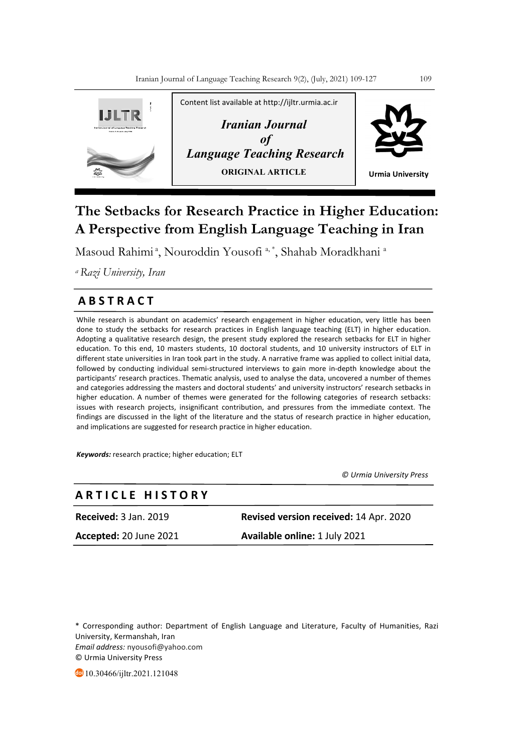

# **The Setbacks for Research Practice in Higher Education: A Perspective from English Language Teaching in Iran**

Masoud Rahimi<sup>a</sup>, Nouroddin Yousofi<sup>a,\*</sup>, Shahab Moradkhani<sup>a</sup>

*a Razi University, Iran*

## **A B S T R A C T**

While research is abundant on academics' research engagement in higher education, very little has been done to study the setbacks for research practices in English language teaching (ELT) in higher education. Adopting a qualitative research design, the present study explored the research setbacks for ELT in higher education. To this end, 10 masters students, 10 doctoral students, and 10 university instructors of ELT in different state universities in Iran took part in the study. A narrative frame was applied to collect initial data, followed by conducting individual semi-structured interviews to gain more in-depth knowledge about the participants' research practices. Thematic analysis, used to analyse the data, uncovered a number of themes and categories addressing the masters and doctoral students' and university instructors' research setbacks in higher education. A number of themes were generated for the following categories of research setbacks: issues with research projects, insignificant contribution, and pressures from the immediate context. The findings are discussed in the light of the literature and the status of research practice in higher education, and implications are suggested for research practice in higher education.

*Keywords:* research practice; higher education; ELT

 *© Urmia University Press*

## **A R T I C L E H I S T O R Y**

**Received:** 3 Jan. 2019 **Revised version received:** 14 Apr. 2020 **Accepted:** 20 June 2021 **Available online:** 1 July 2021

\* Corresponding author: Department of English Language and Literature, Faculty of Humanities, Razi University, Kermanshah, Iran *Email address:* nyousofi@yahoo.com © Urmia University Press

10.30466/ijltr.2021.121048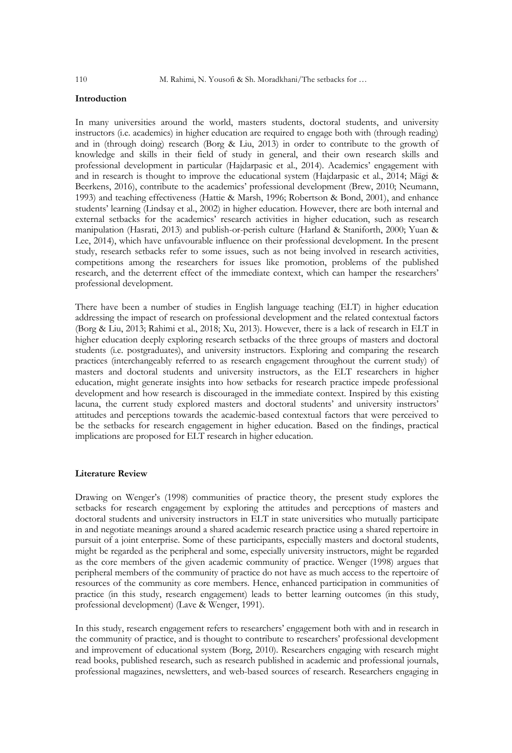## **Introduction**

In many universities around the world, masters students, doctoral students, and university instructors (i.e. academics) in higher education are required to engage both with (through reading) and in (through doing) research (Borg & Liu, 2013) in order to contribute to the growth of knowledge and skills in their field of study in general, and their own research skills and professional development in particular (Hajdarpasic et al., 2014). Academics' engagement with and in research is thought to improve the educational system (Hajdarpasic et al., 2014; Mägi & Beerkens, 2016), contribute to the academics' professional development (Brew, 2010; Neumann, 1993) and teaching effectiveness (Hattie & Marsh, 1996; Robertson & Bond, 2001), and enhance students' learning (Lindsay et al., 2002) in higher education. However, there are both internal and external setbacks for the academics' research activities in higher education, such as research manipulation (Hasrati, 2013) and publish-or-perish culture (Harland & Staniforth, 2000; Yuan & Lee, 2014), which have unfavourable influence on their professional development. In the present study, research setbacks refer to some issues, such as not being involved in research activities, competitions among the researchers for issues like promotion, problems of the published research, and the deterrent effect of the immediate context, which can hamper the researchers' professional development.

There have been a number of studies in English language teaching (ELT) in higher education addressing the impact of research on professional development and the related contextual factors (Borg & Liu, 2013; Rahimi et al., 2018; Xu, 2013). However, there is a lack of research in ELT in higher education deeply exploring research setbacks of the three groups of masters and doctoral students (i.e. postgraduates), and university instructors. Exploring and comparing the research practices (interchangeably referred to as research engagement throughout the current study) of masters and doctoral students and university instructors, as the ELT researchers in higher education, might generate insights into how setbacks for research practice impede professional development and how research is discouraged in the immediate context. Inspired by this existing lacuna, the current study explored masters and doctoral students' and university instructors' attitudes and perceptions towards the academic-based contextual factors that were perceived to be the setbacks for research engagement in higher education. Based on the findings, practical implications are proposed for ELT research in higher education.

## **Literature Review**

Drawing on Wenger's (1998) communities of practice theory, the present study explores the setbacks for research engagement by exploring the attitudes and perceptions of masters and doctoral students and university instructors in ELT in state universities who mutually participate in and negotiate meanings around a shared academic research practice using a shared repertoire in pursuit of a joint enterprise. Some of these participants, especially masters and doctoral students, might be regarded as the peripheral and some, especially university instructors, might be regarded as the core members of the given academic community of practice. Wenger (1998) argues that peripheral members of the community of practice do not have as much access to the repertoire of resources of the community as core members. Hence, enhanced participation in communities of practice (in this study, research engagement) leads to better learning outcomes (in this study, professional development) (Lave & Wenger, 1991).

In this study, research engagement refers to researchers' engagement both with and in research in the community of practice, and is thought to contribute to researchers' professional development and improvement of educational system (Borg, 2010). Researchers engaging with research might read books, published research, such as research published in academic and professional journals, professional magazines, newsletters, and web-based sources of research. Researchers engaging in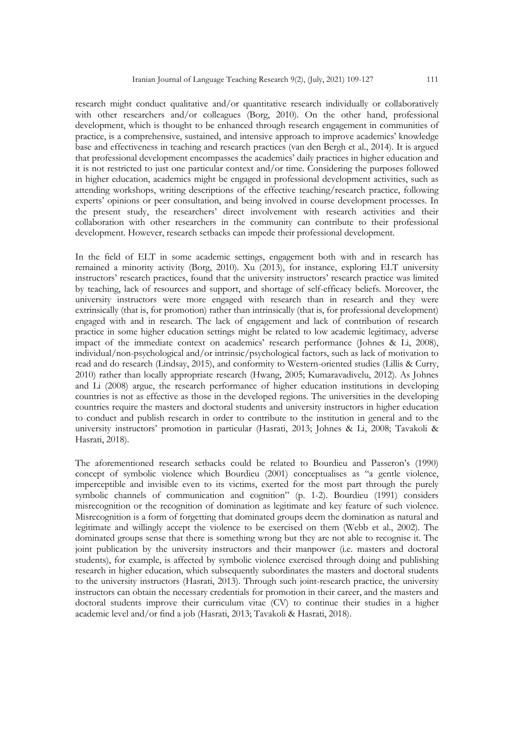research might conduct qualitative and/or quantitative research individually or collaboratively with other researchers and/or colleagues (Borg, 2010). On the other hand, professional development, which is thought to be enhanced through research engagement in communities of practice, is a comprehensive, sustained, and intensive approach to improve academics' knowledge base and effectiveness in teaching and research practices (van den Bergh et al., 2014). It is argued that professional development encompasses the academics' daily practices in higher education and it is not restricted to just one particular context and/or time. Considering the purposes followed in higher education, academics might be engaged in professional development activities, such as attending workshops, writing descriptions of the effective teaching/research practice, following experts' opinions or peer consultation, and being involved in course development processes. In the present study, the researchers' direct involvement with research activities and their collaboration with other researchers in the community can contribute to their professional development. However, research setbacks can impede their professional development.

In the field of ELT in some academic settings, engagement both with and in research has remained a minority activity (Borg, 2010). Xu (2013), for instance, exploring ELT university instructors' research practices, found that the university instructors' research practice was limited by teaching, lack of resources and support, and shortage of self-efficacy beliefs. Moreover, the university instructors were more engaged with research than in research and they were extrinsically (that is, for promotion) rather than intrinsically (that is, for professional development) engaged with and in research. The lack of engagement and lack of contribution of research practice in some higher education settings might be related to low academic legitimacy, adverse impact of the immediate context on academics' research performance (Johnes & Li, 2008), individual/non-psychological and/or intrinsic/psychological factors, such as lack of motivation to read and do research (Lindsay, 2015), and conformity to Western-oriented studies (Lillis & Curry, 2010) rather than locally appropriate research (Hwang, 2005; Kumaravadivelu, 2012). As Johnes and Li (2008) argue, the research performance of higher education institutions in developing countries is not as effective as those in the developed regions. The universities in the developing countries require the masters and doctoral students and university instructors in higher education to conduct and publish research in order to contribute to the institution in general and to the university instructors' promotion in particular (Hasrati, 2013; Johnes & Li, 2008; Tavakoli & Hasrati, 2018).

The aforementioned research setbacks could be related to Bourdieu and Passeron's (1990) concept of symbolic violence which Bourdieu (2001) conceptualises as "a gentle violence, imperceptible and invisible even to its victims, exerted for the most part through the purely symbolic channels of communication and cognition" (p. 1-2). Bourdieu (1991) considers misrecognition or the recognition of domination as legitimate and key feature of such violence. Misrecognition is a form of forgetting that dominated groups deem the domination as natural and legitimate and willingly accept the violence to be exercised on them (Webb et al., 2002). The dominated groups sense that there is something wrong but they are not able to recognise it. The joint publication by the university instructors and their manpower (i.e. masters and doctoral students), for example, is affected by symbolic violence exercised through doing and publishing research in higher education, which subsequently subordinates the masters and doctoral students to the university instructors (Hasrati, 2013). Through such joint-research practice, the university instructors can obtain the necessary credentials for promotion in their career, and the masters and doctoral students improve their curriculum vitae (CV) to continue their studies in a higher academic level and/or find a job (Hasrati, 2013; Tavakoli & Hasrati, 2018).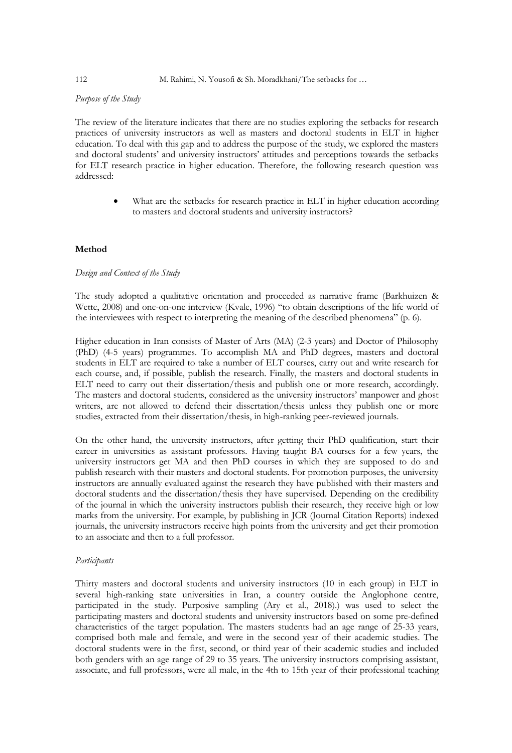#### 112 M. Rahimi, N. Yousofi & Sh. Moradkhani/The setbacks for ...

## *Purpose of the Study*

The review of the literature indicates that there are no studies exploring the setbacks for research practices of university instructors as well as masters and doctoral students in ELT in higher education. To deal with this gap and to address the purpose of the study, we explored the masters and doctoral students' and university instructors' attitudes and perceptions towards the setbacks for ELT research practice in higher education. Therefore, the following research question was addressed:

> What are the setbacks for research practice in ELT in higher education according to masters and doctoral students and university instructors?

## **Method**

## *Design and Context of the Study*

The study adopted a qualitative orientation and proceeded as narrative frame (Barkhuizen & Wette, 2008) and one-on-one interview (Kvale, 1996) "to obtain descriptions of the life world of the interviewees with respect to interpreting the meaning of the described phenomena" (p. 6).

Higher education in Iran consists of Master of Arts (MA) (2-3 years) and Doctor of Philosophy (PhD) (4-5 years) programmes. To accomplish MA and PhD degrees, masters and doctoral students in ELT are required to take a number of ELT courses, carry out and write research for each course, and, if possible, publish the research. Finally, the masters and doctoral students in ELT need to carry out their dissertation/thesis and publish one or more research, accordingly. The masters and doctoral students, considered as the university instructors' manpower and ghost writers, are not allowed to defend their dissertation/thesis unless they publish one or more studies, extracted from their dissertation/thesis, in high-ranking peer-reviewed journals.

On the other hand, the university instructors, after getting their PhD qualification, start their career in universities as assistant professors. Having taught BA courses for a few years, the university instructors get MA and then PhD courses in which they are supposed to do and publish research with their masters and doctoral students. For promotion purposes, the university instructors are annually evaluated against the research they have published with their masters and doctoral students and the dissertation/thesis they have supervised. Depending on the credibility of the journal in which the university instructors publish their research, they receive high or low marks from the university. For example, by publishing in JCR (Journal Citation Reports) indexed journals, the university instructors receive high points from the university and get their promotion to an associate and then to a full professor.

#### *Participants*

Thirty masters and doctoral students and university instructors (10 in each group) in ELT in several high-ranking state universities in Iran, a country outside the Anglophone centre, participated in the study. Purposive sampling (Ary et al., 2018).) was used to select the participating masters and doctoral students and university instructors based on some pre-defined characteristics of the target population. The masters students had an age range of 25-33 years, comprised both male and female, and were in the second year of their academic studies. The doctoral students were in the first, second, or third year of their academic studies and included both genders with an age range of 29 to 35 years. The university instructors comprising assistant, associate, and full professors, were all male, in the 4th to 15th year of their professional teaching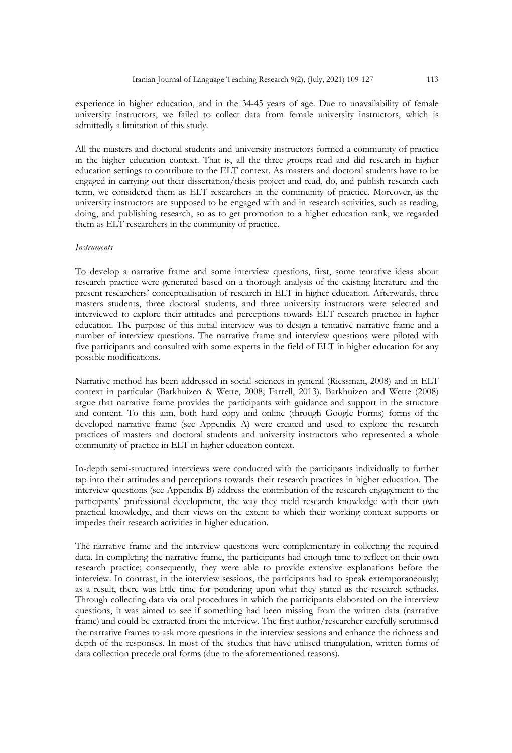experience in higher education, and in the 34-45 years of age. Due to unavailability of female university instructors, we failed to collect data from female university instructors, which is admittedly a limitation of this study.

All the masters and doctoral students and university instructors formed a community of practice in the higher education context. That is, all the three groups read and did research in higher education settings to contribute to the ELT context. As masters and doctoral students have to be engaged in carrying out their dissertation/thesis project and read, do, and publish research each term, we considered them as ELT researchers in the community of practice. Moreover, as the university instructors are supposed to be engaged with and in research activities, such as reading, doing, and publishing research, so as to get promotion to a higher education rank, we regarded them as ELT researchers in the community of practice.

#### *Instruments*

To develop a narrative frame and some interview questions, first, some tentative ideas about research practice were generated based on a thorough analysis of the existing literature and the present researchers' conceptualisation of research in ELT in higher education. Afterwards, three masters students, three doctoral students, and three university instructors were selected and interviewed to explore their attitudes and perceptions towards ELT research practice in higher education. The purpose of this initial interview was to design a tentative narrative frame and a number of interview questions. The narrative frame and interview questions were piloted with five participants and consulted with some experts in the field of ELT in higher education for any possible modifications.

Narrative method has been addressed in social sciences in general (Riessman, 2008) and in ELT context in particular (Barkhuizen & Wette, 2008; Farrell, 2013). Barkhuizen and Wette (2008) argue that narrative frame provides the participants with guidance and support in the structure and content. To this aim, both hard copy and online (through Google Forms) forms of the developed narrative frame (see Appendix A) were created and used to explore the research practices of masters and doctoral students and university instructors who represented a whole community of practice in ELT in higher education context.

In-depth semi-structured interviews were conducted with the participants individually to further tap into their attitudes and perceptions towards their research practices in higher education. The interview questions (see Appendix B) address the contribution of the research engagement to the participants' professional development, the way they meld research knowledge with their own practical knowledge, and their views on the extent to which their working context supports or impedes their research activities in higher education.

The narrative frame and the interview questions were complementary in collecting the required data. In completing the narrative frame, the participants had enough time to reflect on their own research practice; consequently, they were able to provide extensive explanations before the interview. In contrast, in the interview sessions, the participants had to speak extemporaneously; as a result, there was little time for pondering upon what they stated as the research setbacks. Through collecting data via oral procedures in which the participants elaborated on the interview questions, it was aimed to see if something had been missing from the written data (narrative frame) and could be extracted from the interview. The first author/researcher carefully scrutinised the narrative frames to ask more questions in the interview sessions and enhance the richness and depth of the responses. In most of the studies that have utilised triangulation, written forms of data collection precede oral forms (due to the aforementioned reasons).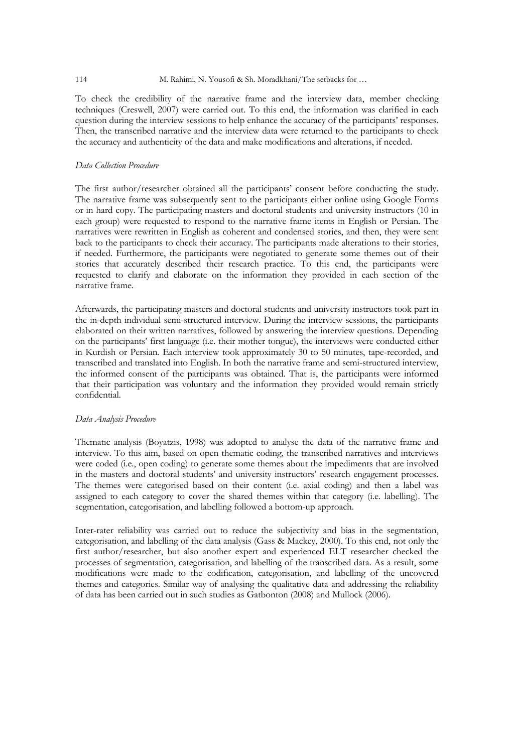#### 114 M. Rahimi, N. Yousofi & Sh. Moradkhani/The setbacks for …

To check the credibility of the narrative frame and the interview data, member checking techniques (Creswell, 2007) were carried out. To this end, the information was clarified in each question during the interview sessions to help enhance the accuracy of the participants' responses. Then, the transcribed narrative and the interview data were returned to the participants to check the accuracy and authenticity of the data and make modifications and alterations, if needed.

## *Data Collection Procedure*

The first author/researcher obtained all the participants' consent before conducting the study. The narrative frame was subsequently sent to the participants either online using Google Forms or in hard copy. The participating masters and doctoral students and university instructors (10 in each group) were requested to respond to the narrative frame items in English or Persian. The narratives were rewritten in English as coherent and condensed stories, and then, they were sent back to the participants to check their accuracy. The participants made alterations to their stories, if needed. Furthermore, the participants were negotiated to generate some themes out of their stories that accurately described their research practice. To this end, the participants were requested to clarify and elaborate on the information they provided in each section of the narrative frame.

Afterwards, the participating masters and doctoral students and university instructors took part in the in-depth individual semi-structured interview. During the interview sessions, the participants elaborated on their written narratives, followed by answering the interview questions. Depending on the participants' first language (i.e. their mother tongue), the interviews were conducted either in Kurdish or Persian. Each interview took approximately 30 to 50 minutes, tape-recorded, and transcribed and translated into English. In both the narrative frame and semi-structured interview, the informed consent of the participants was obtained. That is, the participants were informed that their participation was voluntary and the information they provided would remain strictly confidential.

## *Data Analysis Procedure*

Thematic analysis (Boyatzis, 1998) was adopted to analyse the data of the narrative frame and interview. To this aim, based on open thematic coding, the transcribed narratives and interviews were coded (i.e., open coding) to generate some themes about the impediments that are involved in the masters and doctoral students' and university instructors' research engagement processes. The themes were categorised based on their content (i.e. axial coding) and then a label was assigned to each category to cover the shared themes within that category (i.e. labelling). The segmentation, categorisation, and labelling followed a bottom-up approach.

Inter-rater reliability was carried out to reduce the subjectivity and bias in the segmentation, categorisation, and labelling of the data analysis (Gass & Mackey, 2000). To this end, not only the first author/researcher, but also another expert and experienced ELT researcher checked the processes of segmentation, categorisation, and labelling of the transcribed data. As a result, some modifications were made to the codification, categorisation, and labelling of the uncovered themes and categories. Similar way of analysing the qualitative data and addressing the reliability of data has been carried out in such studies as Gatbonton (2008) and Mullock (2006).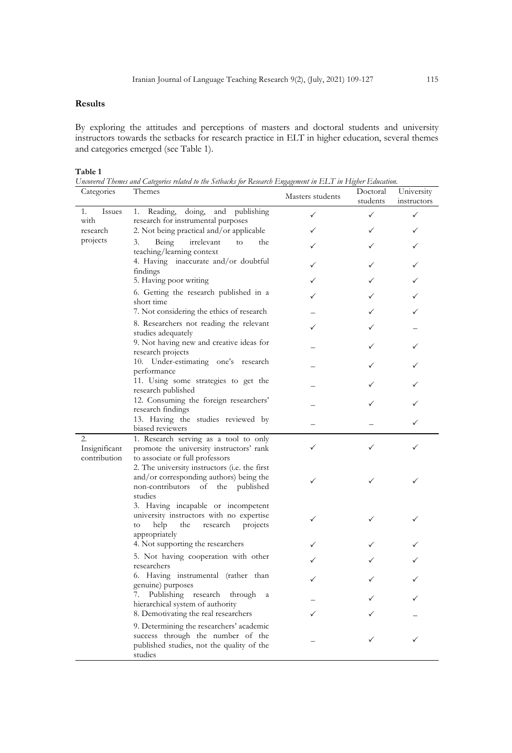## **Results**

By exploring the attitudes and perceptions of masters and doctoral students and university instructors towards the setbacks for research practice in ELT in higher education, several themes and categories emerged (see Table 1).

## **Table 1**

*Uncovered Themes and Categories related to the Setbacks for Research Engagement in ELT in Higher Education.*

| Categories                       | Themes                                                                                                                                            | Masters students | Doctoral<br>students | University<br>instructors |
|----------------------------------|---------------------------------------------------------------------------------------------------------------------------------------------------|------------------|----------------------|---------------------------|
| Issues<br>1.<br>with<br>research | Reading,<br>doing,<br>publishing<br>and<br>1.<br>research for instrumental purposes                                                               | ✓                | ✓                    | ✓                         |
|                                  | 2. Not being practical and/or applicable                                                                                                          | ✓                |                      |                           |
| projects                         | 3.<br>Being<br>the<br>irrelevant<br>to                                                                                                            |                  |                      |                           |
|                                  | teaching/learning context<br>4. Having inaccurate and/or doubtful<br>findings                                                                     | ✓                |                      | ✓                         |
|                                  | 5. Having poor writing                                                                                                                            |                  |                      |                           |
|                                  | 6. Getting the research published in a<br>short time                                                                                              |                  |                      |                           |
|                                  | 7. Not considering the ethics of research                                                                                                         |                  |                      |                           |
|                                  | 8. Researchers not reading the relevant<br>studies adequately                                                                                     |                  |                      |                           |
|                                  | 9. Not having new and creative ideas for<br>research projects                                                                                     |                  |                      |                           |
|                                  | 10. Under-estimating one's research<br>performance                                                                                                |                  |                      |                           |
|                                  | 11. Using some strategies to get the<br>research published                                                                                        |                  |                      |                           |
|                                  | 12. Consuming the foreign researchers'<br>research findings                                                                                       |                  |                      |                           |
|                                  | 13. Having the studies reviewed by                                                                                                                |                  |                      |                           |
| 2.                               | biased reviewers<br>1. Research serving as a tool to only                                                                                         |                  |                      |                           |
| Insignificant<br>contribution    | promote the university instructors' rank<br>to associate or full professors                                                                       |                  |                      |                           |
|                                  | 2. The university instructors (i.e. the first<br>and/or corresponding authors) being the<br>non-contributors<br>of<br>the<br>published<br>studies | ✓                |                      |                           |
|                                  | 3. Having incapable or incompetent<br>university instructors with no expertise<br>help<br>the<br>projects<br>research<br>to<br>appropriately      | ✓                |                      |                           |
|                                  | 4. Not supporting the researchers                                                                                                                 |                  |                      |                           |
|                                  | 5. Not having cooperation with other<br>researchers                                                                                               |                  |                      |                           |
|                                  | 6. Having instrumental (rather than<br>genuine) purposes                                                                                          |                  |                      |                           |
|                                  | Publishing research<br>through<br>7.<br>$\mathbf{a}$<br>hierarchical system of authority                                                          |                  |                      |                           |
|                                  | 8. Demotivating the real researchers                                                                                                              |                  |                      |                           |
|                                  | 9. Determining the researchers' academic<br>success through the number of the<br>published studies, not the quality of the<br>studies             |                  |                      | ✓                         |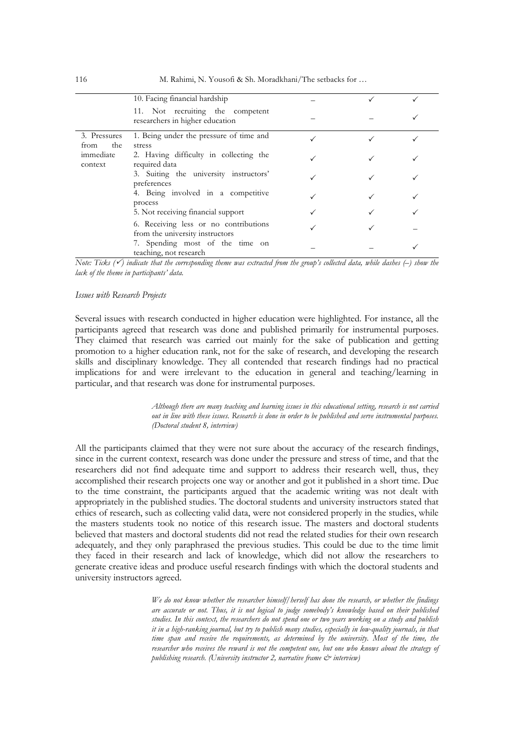|                                                     | 10. Facing financial hardship                                            |  |  |
|-----------------------------------------------------|--------------------------------------------------------------------------|--|--|
|                                                     | 11. Not recruiting the competent<br>researchers in higher education      |  |  |
| 3. Pressures<br>the<br>from<br>immediate<br>context | 1. Being under the pressure of time and<br>stress                        |  |  |
|                                                     | 2. Having difficulty in collecting the<br>required data                  |  |  |
|                                                     | 3. Suiting the university instructors'<br>preferences                    |  |  |
|                                                     | 4. Being involved in a competitive<br>process                            |  |  |
|                                                     | 5. Not receiving financial support                                       |  |  |
|                                                     | 6. Receiving less or no contributions<br>from the university instructors |  |  |
|                                                     | 7. Spending most of the time on<br>teaching, not research                |  |  |

*Note: Ticks (*P*) indicate that the corresponding theme was extracted from the group's collected data, while dashes (–) show the lack of the theme in participants' data.*

#### *Issues with Research Projects*

Several issues with research conducted in higher education were highlighted. For instance, all the participants agreed that research was done and published primarily for instrumental purposes. They claimed that research was carried out mainly for the sake of publication and getting promotion to a higher education rank, not for the sake of research, and developing the research skills and disciplinary knowledge. They all contended that research findings had no practical implications for and were irrelevant to the education in general and teaching/learning in particular, and that research was done for instrumental purposes.

> *Although there are many teaching and learning issues in this educational setting, research is not carried out in line with these issues. Research is done in order to be published and serve instrumental purposes. (Doctoral student 8, interview)*

All the participants claimed that they were not sure about the accuracy of the research findings, since in the current context, research was done under the pressure and stress of time, and that the researchers did not find adequate time and support to address their research well, thus, they accomplished their research projects one way or another and got it published in a short time. Due to the time constraint, the participants argued that the academic writing was not dealt with appropriately in the published studies. The doctoral students and university instructors stated that ethics of research, such as collecting valid data, were not considered properly in the studies, while the masters students took no notice of this research issue. The masters and doctoral students believed that masters and doctoral students did not read the related studies for their own research adequately, and they only paraphrased the previous studies. This could be due to the time limit they faced in their research and lack of knowledge, which did not allow the researchers to generate creative ideas and produce useful research findings with which the doctoral students and university instructors agreed.

> *We do not know whether the researcher himself/herself has done the research, or whether the findings are accurate or not. Thus, it is not logical to judge somebody's knowledge based on their published studies. In this context, the researchers do not spend one or two years working on a study and publish it in a high-ranking journal, but try to publish many studies, especially in low-quality journals, in that*  time span and receive the requirements, as determined by the university. Most of the time, the *researcher who receives the reward is not the competent one, but one who knows about the strategy of publishing research. (University instructor 2, narrative frame & interview)*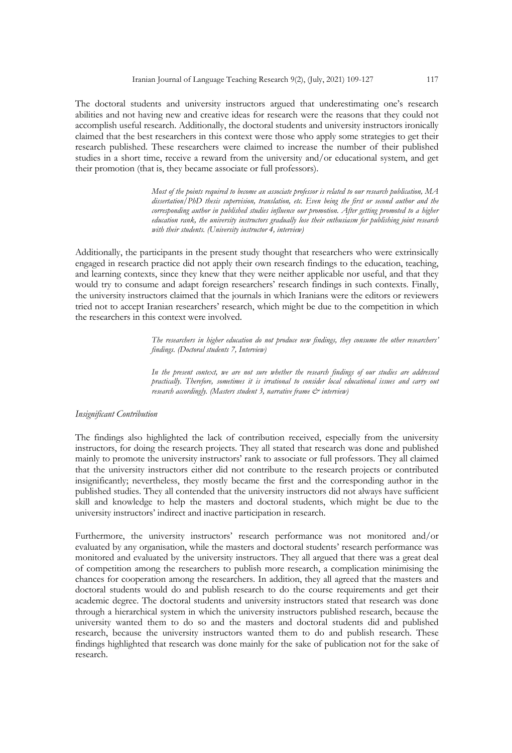The doctoral students and university instructors argued that underestimating one's research abilities and not having new and creative ideas for research were the reasons that they could not accomplish useful research. Additionally, the doctoral students and university instructors ironically claimed that the best researchers in this context were those who apply some strategies to get their research published. These researchers were claimed to increase the number of their published studies in a short time, receive a reward from the university and/or educational system, and get their promotion (that is, they became associate or full professors).

> *Most of the points required to become an associate professor is related to our research publication, MA dissertation/PhD thesis supervision, translation, etc. Even being the first or second author and the corresponding author in published studies influence our promotion. After getting promoted to a higher education rank, the university instructors gradually lose their enthusiasm for publishing joint research with their students. (University instructor 4, interview)*

Additionally, the participants in the present study thought that researchers who were extrinsically engaged in research practice did not apply their own research findings to the education, teaching, and learning contexts, since they knew that they were neither applicable nor useful, and that they would try to consume and adapt foreign researchers' research findings in such contexts. Finally, the university instructors claimed that the journals in which Iranians were the editors or reviewers tried not to accept Iranian researchers' research, which might be due to the competition in which the researchers in this context were involved.

> *The researchers in higher education do not produce new findings, they consume the other researchers' findings. (Doctoral students 7, Interview)*

> *In the present context, we are not sure whether the research findings of our studies are addressed practically. Therefore, sometimes it is irrational to consider local educational issues and carry out research accordingly. (Masters student 3, narrative frame*  $\mathcal{C}^*$  *interview)*

#### *Insignificant Contribution*

The findings also highlighted the lack of contribution received, especially from the university instructors, for doing the research projects. They all stated that research was done and published mainly to promote the university instructors' rank to associate or full professors. They all claimed that the university instructors either did not contribute to the research projects or contributed insignificantly; nevertheless, they mostly became the first and the corresponding author in the published studies. They all contended that the university instructors did not always have sufficient skill and knowledge to help the masters and doctoral students, which might be due to the university instructors' indirect and inactive participation in research.

Furthermore, the university instructors' research performance was not monitored and/or evaluated by any organisation, while the masters and doctoral students' research performance was monitored and evaluated by the university instructors. They all argued that there was a great deal of competition among the researchers to publish more research, a complication minimising the chances for cooperation among the researchers. In addition, they all agreed that the masters and doctoral students would do and publish research to do the course requirements and get their academic degree. The doctoral students and university instructors stated that research was done through a hierarchical system in which the university instructors published research, because the university wanted them to do so and the masters and doctoral students did and published research, because the university instructors wanted them to do and publish research. These findings highlighted that research was done mainly for the sake of publication not for the sake of research.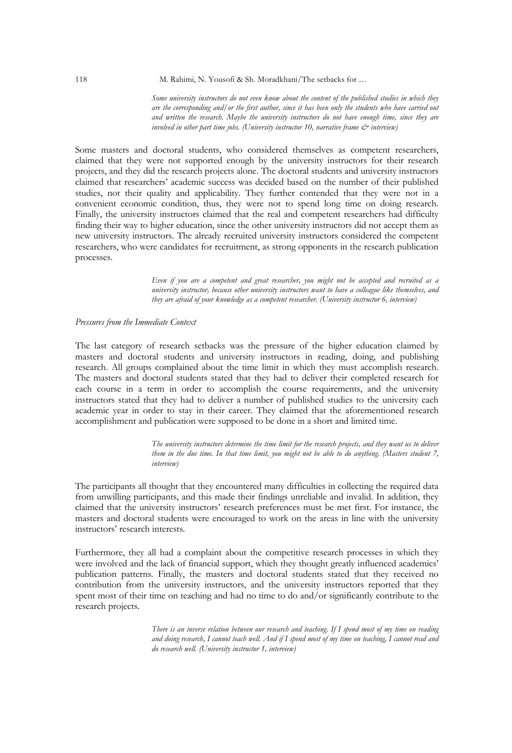*Some university instructors do not even know about the content of the published studies in which they are the corresponding and/or the first author, since it has been only the students who have carried out and written the research. Maybe the university instructors do not have enough time, since they are involved in other part time jobs. (University instructor 10, narrative frame & interview)*

Some masters and doctoral students, who considered themselves as competent researchers, claimed that they were not supported enough by the university instructors for their research projects, and they did the research projects alone. The doctoral students and university instructors claimed that researchers' academic success was decided based on the number of their published studies, not their quality and applicability. They further contended that they were not in a convenient economic condition, thus, they were not to spend long time on doing research. Finally, the university instructors claimed that the real and competent researchers had difficulty finding their way to higher education, since the other university instructors did not accept them as new university instructors. The already recruited university instructors considered the competent researchers, who were candidates for recruitment, as strong opponents in the research publication processes.

> *Even if you are a competent and great researcher, you might not be accepted and recruited as a university instructor, because other university instructors want to have a colleague like themselves, and they are afraid of your knowledge as a competent researcher. (University instructor 6, interview)*

## *Pressures from the Immediate Context*

The last category of research setbacks was the pressure of the higher education claimed by masters and doctoral students and university instructors in reading, doing, and publishing research. All groups complained about the time limit in which they must accomplish research. The masters and doctoral students stated that they had to deliver their completed research for each course in a term in order to accomplish the course requirements, and the university instructors stated that they had to deliver a number of published studies to the university each academic year in order to stay in their career. They claimed that the aforementioned research accomplishment and publication were supposed to be done in a short and limited time.

> *The university instructors determine the time limit for the research projects, and they want us to deliver them in the due time. In that time limit, you might not be able to do anything. (Masters student 7, interview)*

The participants all thought that they encountered many difficulties in collecting the required data from unwilling participants, and this made their findings unreliable and invalid. In addition, they claimed that the university instructors' research preferences must be met first. For instance, the masters and doctoral students were encouraged to work on the areas in line with the university instructors' research interests.

Furthermore, they all had a complaint about the competitive research processes in which they were involved and the lack of financial support, which they thought greatly influenced academics' publication patterns. Finally, the masters and doctoral students stated that they received no contribution from the university instructors, and the university instructors reported that they spent most of their time on teaching and had no time to do and/or significantly contribute to the research projects.

> *There is an inverse relation between our research and teaching. If I spend most of my time on reading and doing research, I cannot teach well. And if I spend most of my time on teaching, I cannot read and do research well. (University instructor 1, interview)*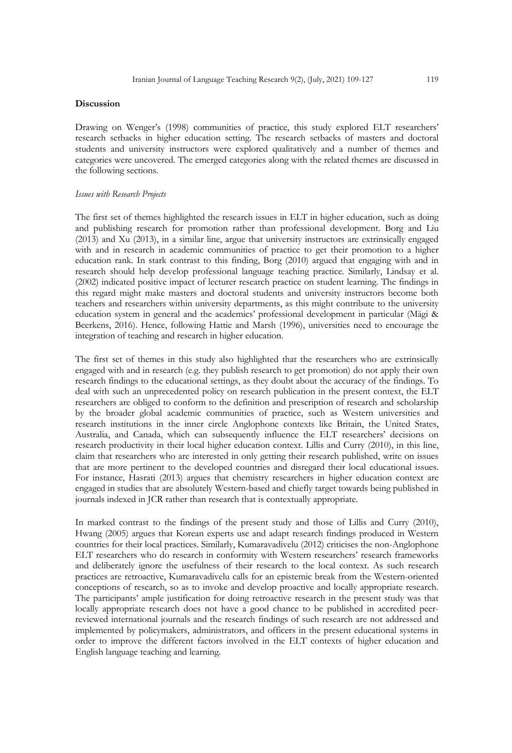## **Discussion**

Drawing on Wenger's (1998) communities of practice, this study explored ELT researchers' research setbacks in higher education setting. The research setbacks of masters and doctoral students and university instructors were explored qualitatively and a number of themes and categories were uncovered. The emerged categories along with the related themes are discussed in the following sections.

## *Issues with Research Projects*

The first set of themes highlighted the research issues in ELT in higher education, such as doing and publishing research for promotion rather than professional development. Borg and Liu (2013) and Xu (2013), in a similar line, argue that university instructors are extrinsically engaged with and in research in academic communities of practice to get their promotion to a higher education rank. In stark contrast to this finding, Borg (2010) argued that engaging with and in research should help develop professional language teaching practice. Similarly, Lindsay et al. (2002) indicated positive impact of lecturer research practice on student learning. The findings in this regard might make masters and doctoral students and university instructors become both teachers and researchers within university departments, as this might contribute to the university education system in general and the academics' professional development in particular (Mägi & Beerkens, 2016). Hence, following Hattie and Marsh (1996), universities need to encourage the integration of teaching and research in higher education.

The first set of themes in this study also highlighted that the researchers who are extrinsically engaged with and in research (e.g. they publish research to get promotion) do not apply their own research findings to the educational settings, as they doubt about the accuracy of the findings. To deal with such an unprecedented policy on research publication in the present context, the ELT researchers are obliged to conform to the definition and prescription of research and scholarship by the broader global academic communities of practice, such as Western universities and research institutions in the inner circle Anglophone contexts like Britain, the United States, Australia, and Canada, which can subsequently influence the ELT researchers' decisions on research productivity in their local higher education context. Lillis and Curry (2010), in this line, claim that researchers who are interested in only getting their research published, write on issues that are more pertinent to the developed countries and disregard their local educational issues. For instance, Hasrati (2013) argues that chemistry researchers in higher education context are engaged in studies that are absolutely Western-based and chiefly target towards being published in journals indexed in JCR rather than research that is contextually appropriate.

In marked contrast to the findings of the present study and those of Lillis and Curry (2010), Hwang (2005) argues that Korean experts use and adapt research findings produced in Western countries for their local practices. Similarly, Kumaravadivelu (2012) criticises the non-Anglophone ELT researchers who do research in conformity with Western researchers' research frameworks and deliberately ignore the usefulness of their research to the local context. As such research practices are retroactive, Kumaravadivelu calls for an epistemic break from the Western-oriented conceptions of research, so as to invoke and develop proactive and locally appropriate research. The participants' ample justification for doing retroactive research in the present study was that locally appropriate research does not have a good chance to be published in accredited peerreviewed international journals and the research findings of such research are not addressed and implemented by policymakers, administrators, and officers in the present educational systems in order to improve the different factors involved in the ELT contexts of higher education and English language teaching and learning.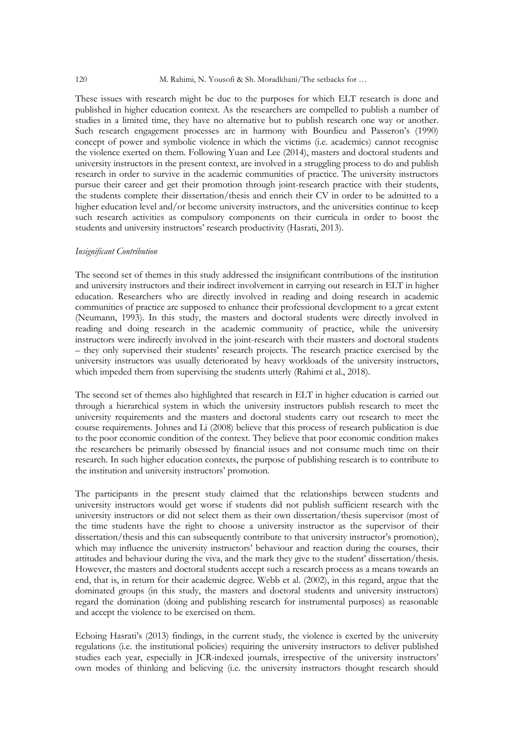#### 120 M. Rahimi, N. Yousofi & Sh. Moradkhani/The setbacks for …

These issues with research might be due to the purposes for which ELT research is done and published in higher education context. As the researchers are compelled to publish a number of studies in a limited time, they have no alternative but to publish research one way or another. Such research engagement processes are in harmony with Bourdieu and Passeron's (1990) concept of power and symbolic violence in which the victims (i.e. academics) cannot recognise the violence exerted on them. Following Yuan and Lee (2014), masters and doctoral students and university instructors in the present context, are involved in a struggling process to do and publish research in order to survive in the academic communities of practice. The university instructors pursue their career and get their promotion through joint-research practice with their students, the students complete their dissertation/thesis and enrich their CV in order to be admitted to a higher education level and/or become university instructors, and the universities continue to keep such research activities as compulsory components on their curricula in order to boost the students and university instructors' research productivity (Hasrati, 2013).

#### *Insignificant Contribution*

The second set of themes in this study addressed the insignificant contributions of the institution and university instructors and their indirect involvement in carrying out research in ELT in higher education. Researchers who are directly involved in reading and doing research in academic communities of practice are supposed to enhance their professional development to a great extent (Neumann, 1993). In this study, the masters and doctoral students were directly involved in reading and doing research in the academic community of practice, while the university instructors were indirectly involved in the joint-research with their masters and doctoral students – they only supervised their students' research projects. The research practice exercised by the university instructors was usually deteriorated by heavy workloads of the university instructors, which impeded them from supervising the students utterly (Rahimi et al., 2018).

The second set of themes also highlighted that research in ELT in higher education is carried out through a hierarchical system in which the university instructors publish research to meet the university requirements and the masters and doctoral students carry out research to meet the course requirements. Johnes and Li (2008) believe that this process of research publication is due to the poor economic condition of the context. They believe that poor economic condition makes the researchers be primarily obsessed by financial issues and not consume much time on their research. In such higher education contexts, the purpose of publishing research is to contribute to the institution and university instructors' promotion.

The participants in the present study claimed that the relationships between students and university instructors would get worse if students did not publish sufficient research with the university instructors or did not select them as their own dissertation/thesis supervisor (most of the time students have the right to choose a university instructor as the supervisor of their dissertation/thesis and this can subsequently contribute to that university instructor's promotion), which may influence the university instructors' behaviour and reaction during the courses, their attitudes and behaviour during the viva, and the mark they give to the student' dissertation/thesis. However, the masters and doctoral students accept such a research process as a means towards an end, that is, in return for their academic degree. Webb et al. (2002), in this regard, argue that the dominated groups (in this study, the masters and doctoral students and university instructors) regard the domination (doing and publishing research for instrumental purposes) as reasonable and accept the violence to be exercised on them.

Echoing Hasrati's (2013) findings, in the current study, the violence is exerted by the university regulations (i.e. the institutional policies) requiring the university instructors to deliver published studies each year, especially in JCR-indexed journals, irrespective of the university instructors' own modes of thinking and believing (i.e. the university instructors thought research should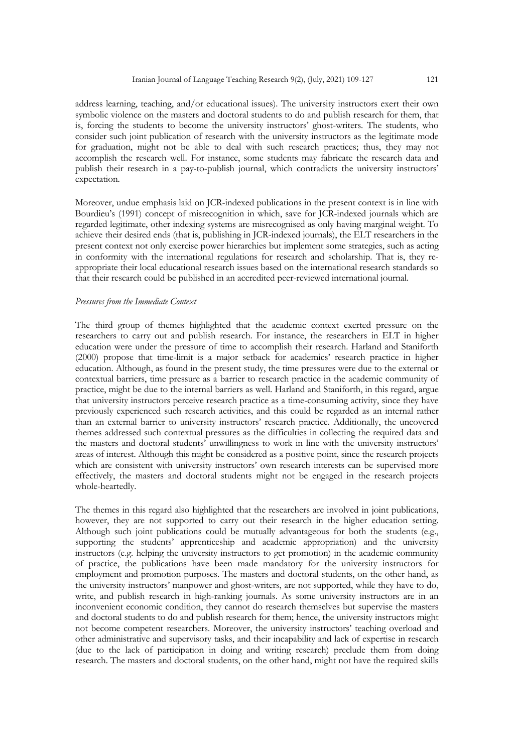address learning, teaching, and/or educational issues). The university instructors exert their own symbolic violence on the masters and doctoral students to do and publish research for them, that is, forcing the students to become the university instructors' ghost-writers. The students, who consider such joint publication of research with the university instructors as the legitimate mode for graduation, might not be able to deal with such research practices; thus, they may not accomplish the research well. For instance, some students may fabricate the research data and publish their research in a pay-to-publish journal, which contradicts the university instructors' expectation.

Moreover, undue emphasis laid on JCR-indexed publications in the present context is in line with Bourdieu's (1991) concept of misrecognition in which, save for JCR-indexed journals which are regarded legitimate, other indexing systems are misrecognised as only having marginal weight. To achieve their desired ends (that is, publishing in JCR-indexed journals), the ELT researchers in the present context not only exercise power hierarchies but implement some strategies, such as acting in conformity with the international regulations for research and scholarship. That is, they reappropriate their local educational research issues based on the international research standards so that their research could be published in an accredited peer-reviewed international journal.

#### *Pressures from the Immediate Context*

The third group of themes highlighted that the academic context exerted pressure on the researchers to carry out and publish research. For instance, the researchers in ELT in higher education were under the pressure of time to accomplish their research. Harland and Staniforth (2000) propose that time-limit is a major setback for academics' research practice in higher education. Although, as found in the present study, the time pressures were due to the external or contextual barriers, time pressure as a barrier to research practice in the academic community of practice, might be due to the internal barriers as well. Harland and Staniforth, in this regard, argue that university instructors perceive research practice as a time-consuming activity, since they have previously experienced such research activities, and this could be regarded as an internal rather than an external barrier to university instructors' research practice. Additionally, the uncovered themes addressed such contextual pressures as the difficulties in collecting the required data and the masters and doctoral students' unwillingness to work in line with the university instructors' areas of interest. Although this might be considered as a positive point, since the research projects which are consistent with university instructors' own research interests can be supervised more effectively, the masters and doctoral students might not be engaged in the research projects whole-heartedly.

The themes in this regard also highlighted that the researchers are involved in joint publications, however, they are not supported to carry out their research in the higher education setting. Although such joint publications could be mutually advantageous for both the students (e.g., supporting the students' apprenticeship and academic appropriation) and the university instructors (e.g. helping the university instructors to get promotion) in the academic community of practice, the publications have been made mandatory for the university instructors for employment and promotion purposes. The masters and doctoral students, on the other hand, as the university instructors' manpower and ghost-writers, are not supported, while they have to do, write, and publish research in high-ranking journals. As some university instructors are in an inconvenient economic condition, they cannot do research themselves but supervise the masters and doctoral students to do and publish research for them; hence, the university instructors might not become competent researchers. Moreover, the university instructors' teaching overload and other administrative and supervisory tasks, and their incapability and lack of expertise in research (due to the lack of participation in doing and writing research) preclude them from doing research. The masters and doctoral students, on the other hand, might not have the required skills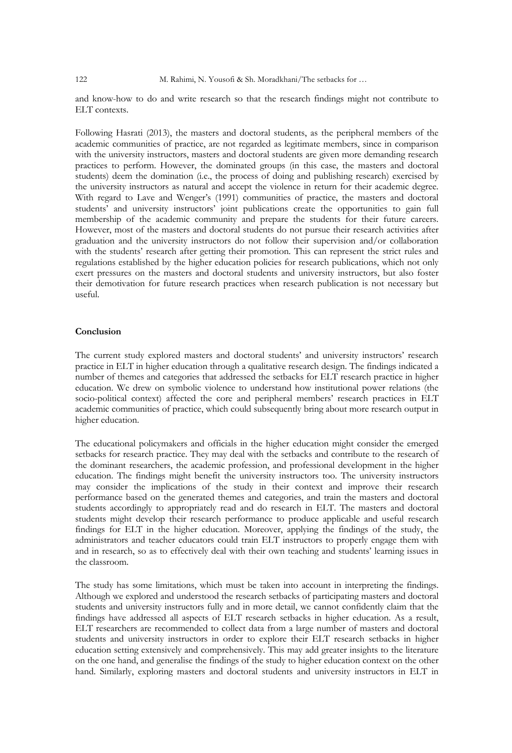and know-how to do and write research so that the research findings might not contribute to ELT contexts.

Following Hasrati (2013), the masters and doctoral students, as the peripheral members of the academic communities of practice, are not regarded as legitimate members, since in comparison with the university instructors, masters and doctoral students are given more demanding research practices to perform. However, the dominated groups (in this case, the masters and doctoral students) deem the domination (i.e., the process of doing and publishing research) exercised by the university instructors as natural and accept the violence in return for their academic degree. With regard to Lave and Wenger's (1991) communities of practice, the masters and doctoral students' and university instructors' joint publications create the opportunities to gain full membership of the academic community and prepare the students for their future careers. However, most of the masters and doctoral students do not pursue their research activities after graduation and the university instructors do not follow their supervision and/or collaboration with the students' research after getting their promotion. This can represent the strict rules and regulations established by the higher education policies for research publications, which not only exert pressures on the masters and doctoral students and university instructors, but also foster their demotivation for future research practices when research publication is not necessary but useful.

## **Conclusion**

The current study explored masters and doctoral students' and university instructors' research practice in ELT in higher education through a qualitative research design. The findings indicated a number of themes and categories that addressed the setbacks for ELT research practice in higher education. We drew on symbolic violence to understand how institutional power relations (the socio-political context) affected the core and peripheral members' research practices in ELT academic communities of practice, which could subsequently bring about more research output in higher education.

The educational policymakers and officials in the higher education might consider the emerged setbacks for research practice. They may deal with the setbacks and contribute to the research of the dominant researchers, the academic profession, and professional development in the higher education. The findings might benefit the university instructors too. The university instructors may consider the implications of the study in their context and improve their research performance based on the generated themes and categories, and train the masters and doctoral students accordingly to appropriately read and do research in ELT. The masters and doctoral students might develop their research performance to produce applicable and useful research findings for ELT in the higher education. Moreover, applying the findings of the study, the administrators and teacher educators could train ELT instructors to properly engage them with and in research, so as to effectively deal with their own teaching and students' learning issues in the classroom.

The study has some limitations, which must be taken into account in interpreting the findings. Although we explored and understood the research setbacks of participating masters and doctoral students and university instructors fully and in more detail, we cannot confidently claim that the findings have addressed all aspects of ELT research setbacks in higher education. As a result, ELT researchers are recommended to collect data from a large number of masters and doctoral students and university instructors in order to explore their ELT research setbacks in higher education setting extensively and comprehensively. This may add greater insights to the literature on the one hand, and generalise the findings of the study to higher education context on the other hand. Similarly, exploring masters and doctoral students and university instructors in ELT in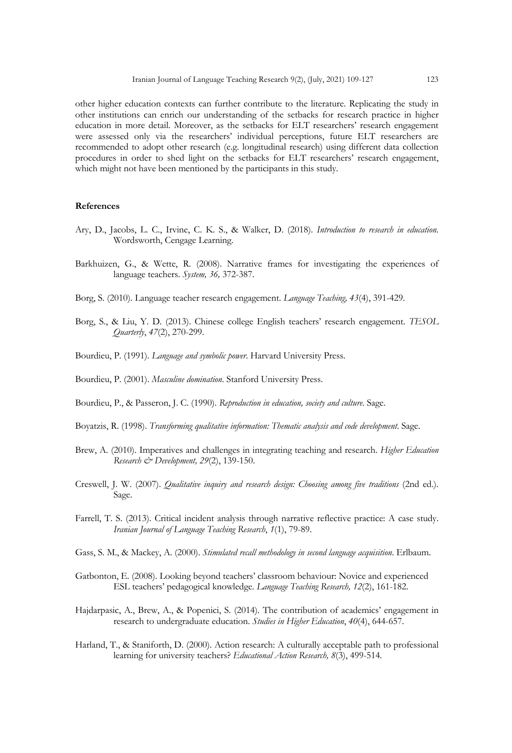other higher education contexts can further contribute to the literature. Replicating the study in other institutions can enrich our understanding of the setbacks for research practice in higher education in more detail. Moreover, as the setbacks for ELT researchers' research engagement were assessed only via the researchers' individual perceptions, future ELT researchers are recommended to adopt other research (e.g. longitudinal research) using different data collection procedures in order to shed light on the setbacks for ELT researchers' research engagement, which might not have been mentioned by the participants in this study.

## **References**

- Ary, D., Jacobs, L. C., Irvine, C. K. S., & Walker, D. (2018). *Introduction to research in education*. Wordsworth, Cengage Learning.
- Barkhuizen, G., & Wette, R. (2008). Narrative frames for investigating the experiences of language teachers. *System, 36,* 372-387.
- Borg, S. (2010). Language teacher research engagement. *Language Teaching, 43*(4), 391-429.
- Borg, S., & Liu, Y. D. (2013). Chinese college English teachers' research engagement. *TESOL Quarterly*, *47*(2), 270-299.
- Bourdieu, P. (1991). *Language and symbolic power*. Harvard University Press.
- Bourdieu, P. (2001). *Masculine domination*. Stanford University Press.
- Bourdieu, P., & Passeron, J. C. (1990). *Reproduction in education, society and culture*. Sage.
- Boyatzis, R. (1998). *Transforming qualitative information: Thematic analysis and code development*. Sage.
- Brew, A. (2010). Imperatives and challenges in integrating teaching and research. *Higher Education Research & Development, 29*(2), 139-150.
- Creswell, J. W. (2007). *Qualitative inquiry and research design: Choosing among five traditions* (2nd ed.). Sage.
- Farrell, T. S. (2013). Critical incident analysis through narrative reflective practice: A case study. *Iranian Journal of Language Teaching Research*, *1*(1), 79-89.
- Gass, S. M., & Mackey, A. (2000). *Stimulated recall methodology in second language acquisition*. Erlbaum.
- Gatbonton, E. (2008). Looking beyond teachers' classroom behaviour: Novice and experienced ESL teachers' pedagogical knowledge. *Language Teaching Research, 12*(2), 161-182.
- Hajdarpasic, A., Brew, A., & Popenici, S. (2014). The contribution of academics' engagement in research to undergraduate education. *Studies in Higher Education*, *40*(4), 644-657.
- Harland, T., & Staniforth, D. (2000). Action research: A culturally acceptable path to professional learning for university teachers? *Educational Action Research, 8*(3), 499-514.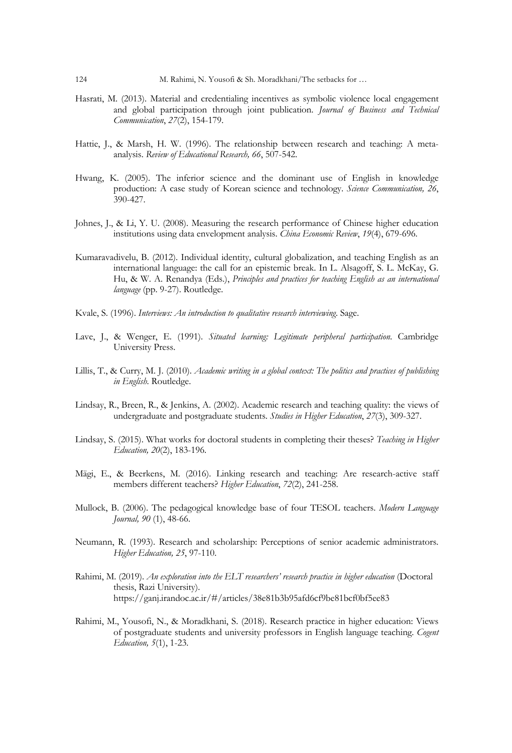- Hasrati, M. (2013). Material and credentialing incentives as symbolic violence local engagement and global participation through joint publication. *Journal of Business and Technical Communication*, *27*(2), 154-179.
- Hattie, J., & Marsh, H. W. (1996). The relationship between research and teaching: A metaanalysis. *Review of Educational Research, 66*, 507-542.
- Hwang, K. (2005). The inferior science and the dominant use of English in knowledge production: A case study of Korean science and technology. *Science Communication, 26*, 390-427.
- Johnes, J., & Li, Y. U. (2008). Measuring the research performance of Chinese higher education institutions using data envelopment analysis. *China Economic Review*, *19*(4), 679-696.
- Kumaravadivelu, B. (2012). Individual identity, cultural globalization, and teaching English as an international language: the call for an epistemic break. In L. Alsagoff, S. L. McKay, G. Hu, & W. A. Renandya (Eds.), *Principles and practices for teaching English as an international language* (pp. 9-27). Routledge.
- Kvale, S. (1996). *Interviews: An introduction to qualitative research interviewing*. Sage.
- Lave, J., & Wenger, E. (1991). *Situated learning: Legitimate peripheral participation*. Cambridge University Press.
- Lillis, T., & Curry, M. J. (2010). *Academic writing in a global context: The politics and practices of publishing in English*. Routledge.
- Lindsay, R., Breen, R., & Jenkins, A. (2002). Academic research and teaching quality: the views of undergraduate and postgraduate students. *Studies in Higher Education*, *27*(3), 309-327.
- Lindsay, S. (2015). What works for doctoral students in completing their theses? *Teaching in Higher Education, 20*(2), 183-196.
- Mägi, E., & Beerkens, M. (2016). Linking research and teaching: Are research-active staff members different teachers? *Higher Education*, *72*(2), 241-258.
- Mullock, B. (2006). The pedagogical knowledge base of four TESOL teachers. *Modern Language Journal, 90* (1), 48-66.
- Neumann, R. (1993). Research and scholarship: Perceptions of senior academic administrators. *Higher Education, 25*, 97-110.
- Rahimi, M. (2019). *An exploration into the ELT researchers' research practice in higher education* (Doctoral thesis, Razi University). https://ganj.irandoc.ac.ir/#/articles/38e81b3b95afd6cf9be81bcf0bf5ee83
- Rahimi, M., Yousofi, N., & Moradkhani, S. (2018). Research practice in higher education: Views of postgraduate students and university professors in English language teaching. *Cogent Education, 5*(1), 1-23.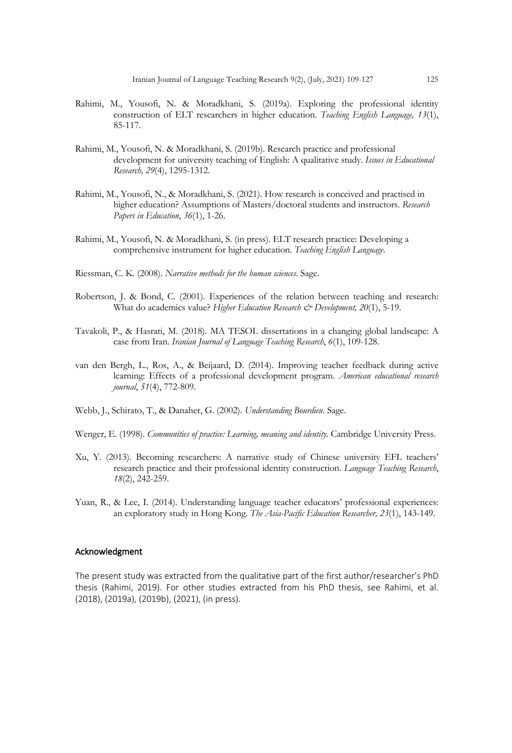- Rahimi, M., Yousofi, N. & Moradkhani, S. (2019a). Exploring the professional identity construction of ELT researchers in higher education. *Teaching English Language, 13*(1), 85-117.
- Rahimi, M., Yousofi, N. & Moradkhani, S. (2019b). Research practice and professional development for university teaching of English: A qualitative study. *Issues in Educational Research, 29*(4), 1295-1312*.*
- Rahimi, M., Yousofi, N., & Moradkhani, S. (2021). How research is conceived and practised in higher education? Assumptions of Masters/doctoral students and instructors. *Research Papers in Education*, *36*(1), 1-26.
- Rahimi, M., Yousofi, N. & Moradkhani, S. (in press). ELT research practice: Developing a comprehensive instrument for higher education. *Teaching English Language*.
- Riessman, C. K. (2008). *Narrative methods for the human sciences*. Sage.
- Robertson, J. & Bond, C. (2001). Experiences of the relation between teaching and research: What do academics value? *Higher Education Research & Development, 20*(1), 5-19.
- Tavakoli, P., & Hasrati, M. (2018). MA TESOL dissertations in a changing global landscape: A case from Iran. *Iranian Journal of Language Teaching Research*, *6*(1), 109-128.
- van den Bergh, L., Ros, A., & Beijaard, D. (2014). Improving teacher feedback during active learning: Effects of a professional development program. *American educational research journal*, *51*(4), 772-809.
- Webb, J., Schirato, T., & Danaher, G. (2002). *Understanding Bourdieu*. Sage.
- Wenger, E. (1998). *Communities of practice: Learning, meaning and identity*. Cambridge University Press.
- Xu, Y. (2013). Becoming researchers: A narrative study of Chinese university EFL teachers' research practice and their professional identity construction. *Language Teaching Research*, *18*(2), 242-259.
- Yuan, R., & Lee, I. (2014). Understanding language teacher educators' professional experiences: an exploratory study in Hong Kong. *The Asia-Pacific Education Researcher, 23*(1), 143-149.

## Acknowledgment

The present study was extracted from the qualitative part of the first author/researcher's PhD thesis (Rahimi, 2019). For other studies extracted from his PhD thesis, see Rahimi, et al. (2018), (2019a), (2019b), (2021), (in press).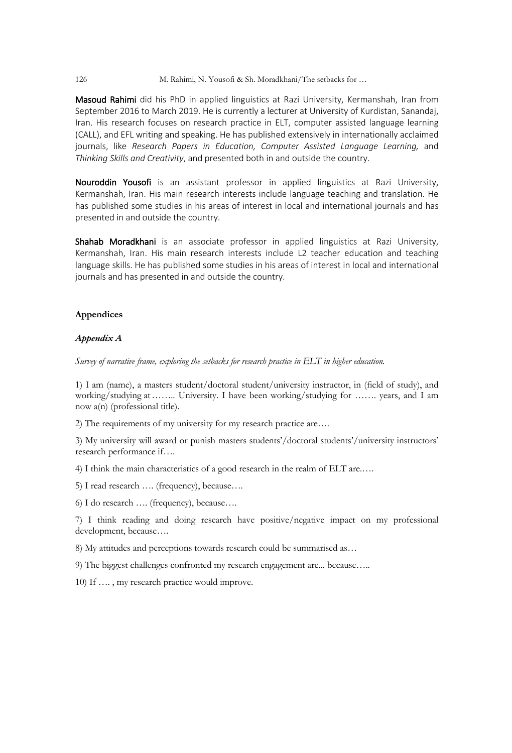## 126 M. Rahimi, N. Yousofi & Sh. Moradkhani/The setbacks for …

Masoud Rahimi did his PhD in applied linguistics at Razi University, Kermanshah, Iran from September 2016 to March 2019. He is currently a lecturer at University of Kurdistan, Sanandaj, Iran. His research focuses on research practice in ELT, computer assisted language learning (CALL), and EFL writing and speaking. He has published extensively in internationally acclaimed journals, like *Research Papers in Education, Computer Assisted Language Learning,* and *Thinking Skills and Creativity*, and presented both in and outside the country.

Nouroddin Yousofi is an assistant professor in applied linguistics at Razi University, Kermanshah, Iran. His main research interests include language teaching and translation. He has published some studies in his areas of interest in local and international journals and has presented in and outside the country.

Shahab Moradkhani is an associate professor in applied linguistics at Razi University, Kermanshah, Iran. His main research interests include L2 teacher education and teaching language skills. He has published some studies in his areas of interest in local and international journals and has presented in and outside the country.

## **Appendices**

## *Appendix A*

*Survey of narrative frame, exploring the setbacks for research practice in ELT in higher education.*

1) I am (name), a masters student/doctoral student/university instructor, in (field of study), and working/studying at…….. University. I have been working/studying for ……. years, and I am now a(n) (professional title).

2) The requirements of my university for my research practice are….

3) My university will award or punish masters students'/doctoral students'/university instructors' research performance if….

4) I think the main characteristics of a good research in the realm of ELT are.….

5) I read research …. (frequency), because….

6) I do research …. (frequency), because….

7) I think reading and doing research have positive/negative impact on my professional development, because….

8) My attitudes and perceptions towards research could be summarised as…

9) The biggest challenges confronted my research engagement are... because…..

10) If …. , my research practice would improve.